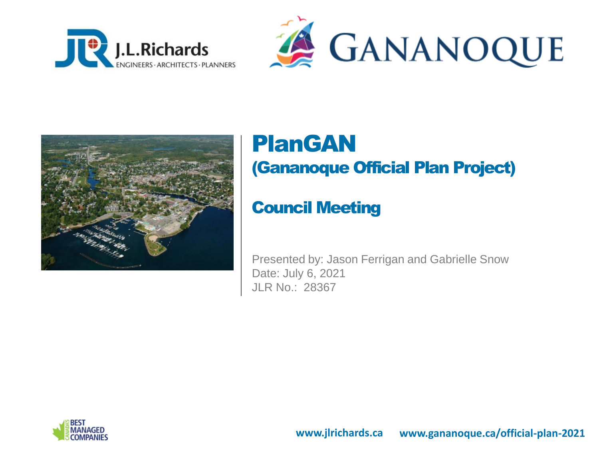





### PlanGAN (Gananoque Official Plan Project)

### Council Meeting

Presented by: Jason Ferrigan and Gabrielle Snow Date: July 6, 2021 JLR No.: 28367

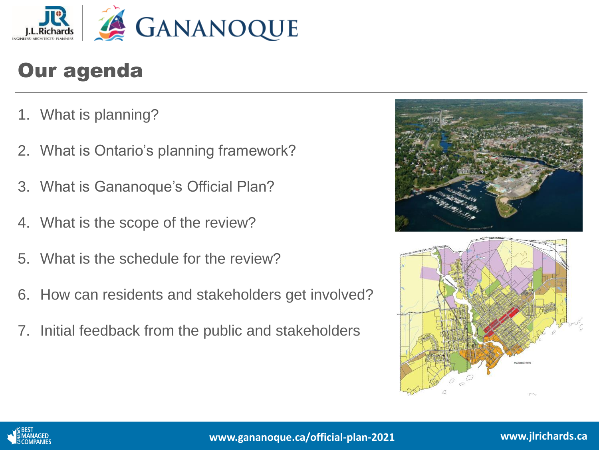

### Our agenda

- 1. What is planning?
- 2. What is Ontario's planning framework?
- 3. What is Gananoque's Official Plan?
- 4. What is the scope of the review?
- 5. What is the schedule for the review?
- 6. How can residents and stakeholders get involved?
- 7. Initial feedback from the public and stakeholders





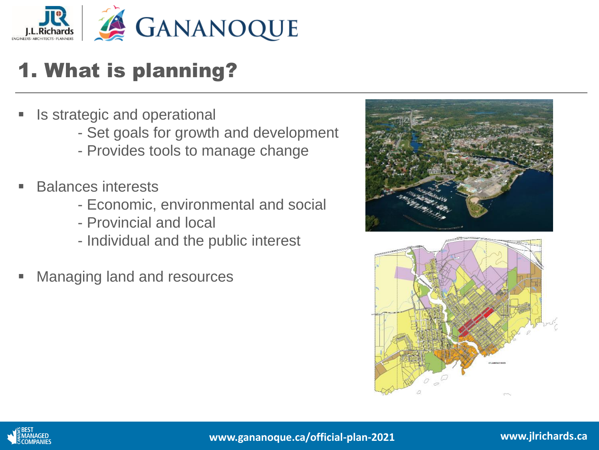

## 1. What is planning?

- Is strategic and operational
	- Set goals for growth and development
	- Provides tools to manage change
- **Balances interests** 
	- Economic, environmental and social
	- Provincial and local
	- Individual and the public interest
- Managing land and resources





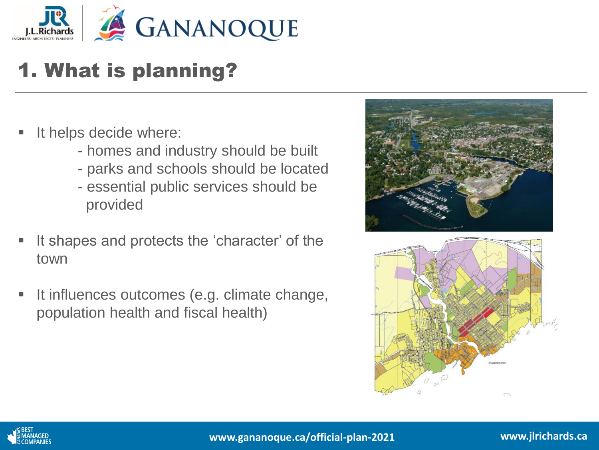

## 1. What is planning?

- It helps decide where:
	- homes and industry should be built
	- parks and schools should be located
	- essential public services should be provided
- It shapes and protects the 'character' of the town
- It influences outcomes (e.g. climate change, population health and fiscal health)





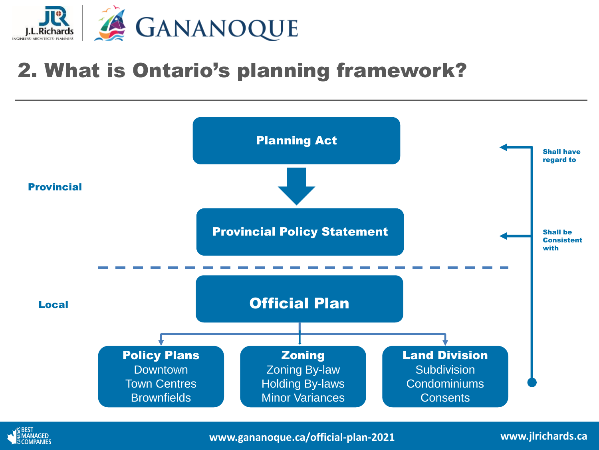

### 2. What is Ontario's planning framework?





**www.gananoque.ca/official-plan-2021**

**www.jlrichards.ca**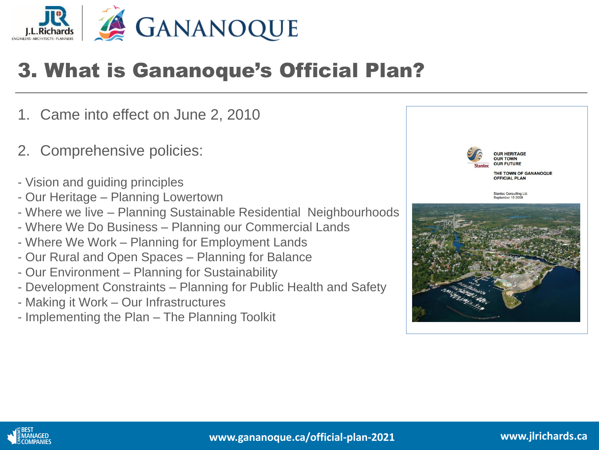

### 3. What is Gananoque's Official Plan?

- 1. Came into effect on June 2, 2010
- 2. Comprehensive policies:
- Vision and guiding principles
- Our Heritage Planning Lowertown
- Where we live Planning Sustainable Residential Neighbourhoods
- Where We Do Business Planning our Commercial Lands
- Where We Work Planning for Employment Lands
- Our Rural and Open Spaces Planning for Balance
- Our Environment Planning for Sustainability
- Development Constraints Planning for Public Health and Safety
- Making it Work Our Infrastructures
- Implementing the Plan The Planning Toolkit



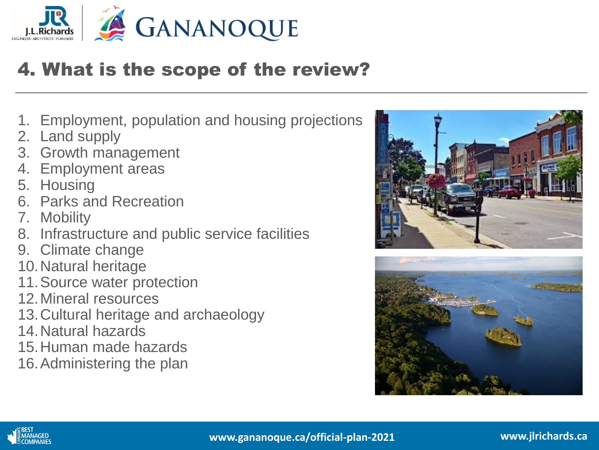

### 4. What is the scope of the review?

- 1. Employment, population and housing projections
- 2. Land supply
- 3. Growth management
- 4. Employment areas
- 5. Housing
- 6. Parks and Recreation
- 7. Mobility
- 8. Infrastructure and public service facilities
- 9. Climate change
- 10.Natural heritage
- 11.Source water protection
- 12.Mineral resources
- 13.Cultural heritage and archaeology
- 14.Natural hazards
- 15.Human made hazards
- 16.Administering the plan





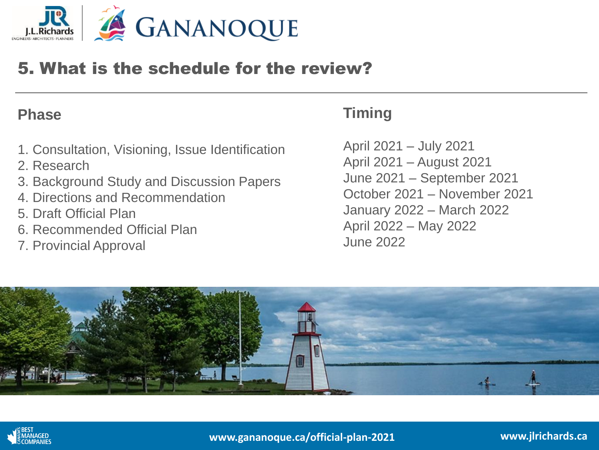

#### 5. What is the schedule for the review?

#### **Phase**

- 1. Consultation, Visioning, Issue Identification
- 2. Research
- 3. Background Study and Discussion Papers
- 4. Directions and Recommendation
- 5. Draft Official Plan
- 6. Recommended Official Plan
- 7. Provincial Approval

### **Timing**

April 2021 – July 2021 April 2021 – August 2021 June 2021 – September 2021 October 2021 – November 2021 January 2022 – March 2022 April 2022 – May 2022 June 2022



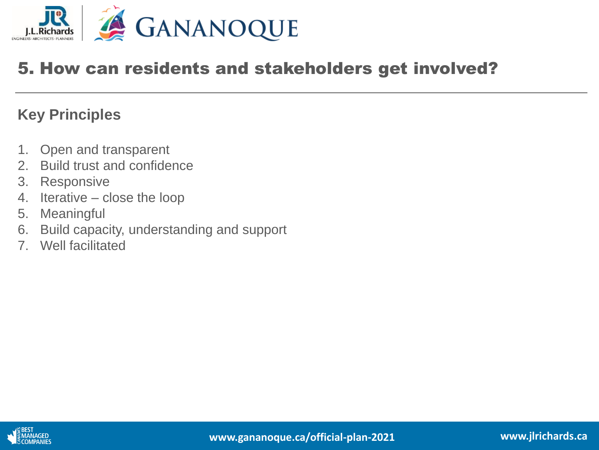

### 5. How can residents and stakeholders get involved?

#### **Key Principles**

- 1. Open and transparent
- 2. Build trust and confidence
- 3. Responsive
- 4. Iterative close the loop
- 5. Meaningful
- 6. Build capacity, understanding and support
- 7. Well facilitated

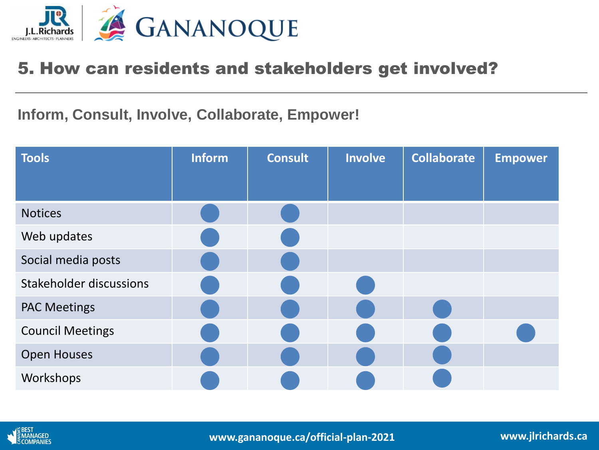

#### 5. How can residents and stakeholders get involved?

**Inform, Consult, Involve, Collaborate, Empower!**

| <b>Tools</b>            | <b>Inform</b> | <b>Consult</b> | <b>Involve</b> | <b>Collaborate</b> | <b>Empower</b> |
|-------------------------|---------------|----------------|----------------|--------------------|----------------|
|                         |               |                |                |                    |                |
| <b>Notices</b>          |               |                |                |                    |                |
| Web updates             |               |                |                |                    |                |
| Social media posts      |               |                |                |                    |                |
| Stakeholder discussions |               |                |                |                    |                |
| <b>PAC Meetings</b>     |               |                |                |                    |                |
| <b>Council Meetings</b> |               |                |                |                    |                |
| <b>Open Houses</b>      |               |                |                |                    |                |
| Workshops               |               |                |                |                    |                |



**www.gananoque.ca/official-plan-2021**

**www.jlrichards.ca**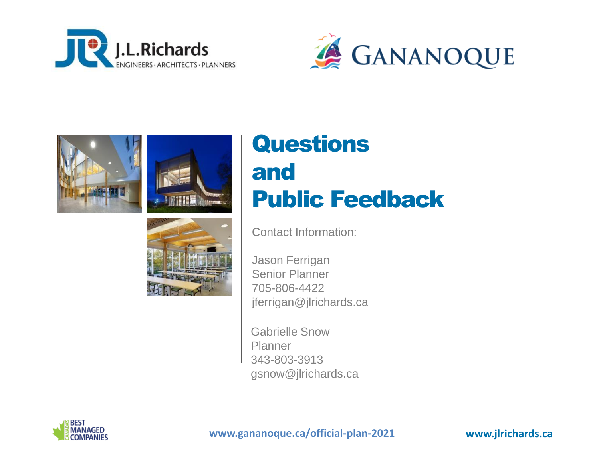







# Questions and Public Feedback

Contact Information:

Jason Ferrigan Senior Planner 705-806-4422 jferrigan@jlrichards.ca

Gabrielle Snow Planner 343-803-3913 gsnow@jlrichards.ca



**www.gananoque.ca/official-plan-2021**

**www.jlrichards.ca www.jlrichards.ca**